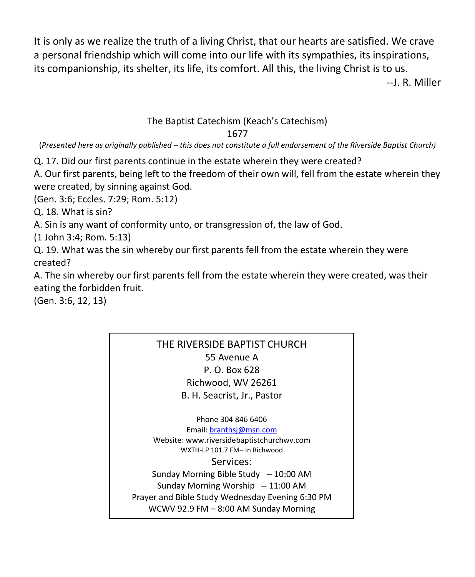It is only as we realize the truth of a living Christ, that our hearts are satisfied. We crave a personal friendship which will come into our life with its sympathies, its inspirations, its companionship, its shelter, its life, its comfort. All this, the living Christ is to us.

--J. R. Miller

## The Baptist Catechism (Keach's Catechism) 1677

(*Presented here as originally published – this does not constitute a full endorsement of the Riverside Baptist Church)*

Q. 17. Did our first parents continue in the estate wherein they were created?

A. Our first parents, being left to the freedom of their own will, fell from the estate wherein they were created, by sinning against God.

(Gen. 3:6; Eccles. 7:29; Rom. 5:12)

Q. 18. What is sin?

A. Sin is any want of conformity unto, or transgression of, the law of God.

(1 John 3:4; Rom. 5:13)

Q. 19. What was the sin whereby our first parents fell from the estate wherein they were created?

A. The sin whereby our first parents fell from the estate wherein they were created, was their eating the forbidden fruit.

(Gen. 3:6, 12, 13)

## THE RIVERSIDE BAPTIST CHURCH 55 Avenue A P. O. Box 628 Richwood, WV 26261 B. H. Seacrist, Jr., Pastor

Phone 304 846 6406

Email[: branthsj@msn.com](mailto:branthsj@msn.com) Website: www.riversidebaptistchurchwv.com WXTH-LP 101.7 FM– In Richwood Services: Sunday Morning Bible Study -- 10:00 AM Sunday Morning Worship -- 11:00 AM Prayer and Bible Study Wednesday Evening 6:30 PM WCWV 92.9 FM – 8:00 AM Sunday Morning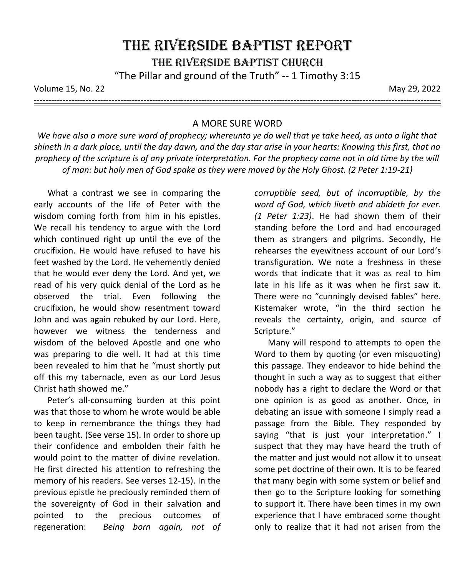Volume 15, No. 22 May 29, 2022

---------------------------------------------------------------------------------------------------------------------------------------------

## A MORE SURE WORD

*We have also a more sure word of prophecy; whereunto ye do well that ye take heed, as unto a light that shineth in a dark place, until the day dawn, and the day star arise in your hearts: Knowing this first, that no prophecy of the scripture is of any private interpretation. For the prophecy came not in old time by the will of man: but holy men of God spake as they were moved by the Holy Ghost. (2 Peter 1:19-21)*

What a contrast we see in comparing the early accounts of the life of Peter with the wisdom coming forth from him in his epistles. We recall his tendency to argue with the Lord which continued right up until the eve of the crucifixion. He would have refused to have his feet washed by the Lord. He vehemently denied that he would ever deny the Lord. And yet, we read of his very quick denial of the Lord as he observed the trial. Even following the crucifixion, he would show resentment toward John and was again rebuked by our Lord. Here, however we witness the tenderness and wisdom of the beloved Apostle and one who was preparing to die well. It had at this time been revealed to him that he "must shortly put off this my tabernacle, even as our Lord Jesus Christ hath showed me."

Peter's all-consuming burden at this point was that those to whom he wrote would be able to keep in remembrance the things they had been taught. (See verse 15). In order to shore up their confidence and embolden their faith he would point to the matter of divine revelation. He first directed his attention to refreshing the memory of his readers. See verses 12-15). In the previous epistle he preciously reminded them of the sovereignty of God in their salvation and pointed to the precious outcomes of regeneration: *Being born again, not of*  *corruptible seed, but of incorruptible, by the word of God, which liveth and abideth for ever. (1 Peter 1:23)*. He had shown them of their standing before the Lord and had encouraged them as strangers and pilgrims. Secondly, He rehearses the eyewitness account of our Lord's transfiguration. We note a freshness in these words that indicate that it was as real to him late in his life as it was when he first saw it. There were no "cunningly devised fables" here. Kistemaker wrote, "in the third section he reveals the certainty, origin, and source of Scripture."

Many will respond to attempts to open the Word to them by quoting (or even misquoting) this passage. They endeavor to hide behind the thought in such a way as to suggest that either nobody has a right to declare the Word or that one opinion is as good as another. Once, in debating an issue with someone I simply read a passage from the Bible. They responded by saying "that is just your interpretation." I suspect that they may have heard the truth of the matter and just would not allow it to unseat some pet doctrine of their own. It is to be feared that many begin with some system or belief and then go to the Scripture looking for something to support it. There have been times in my own experience that I have embraced some thought only to realize that it had not arisen from the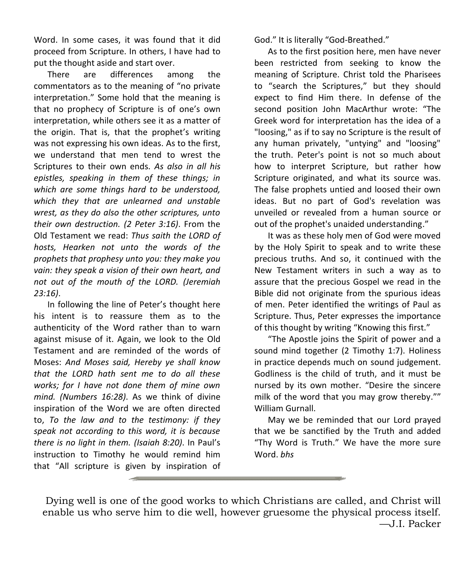Word. In some cases, it was found that it did proceed from Scripture. In others, I have had to put the thought aside and start over.

There are differences among the commentators as to the meaning of "no private interpretation." Some hold that the meaning is that no prophecy of Scripture is of one's own interpretation, while others see it as a matter of the origin. That is, that the prophet's writing was not expressing his own ideas. As to the first, we understand that men tend to wrest the Scriptures to their own ends. *As also in all his epistles, speaking in them of these things; in which are some things hard to be understood, which they that are unlearned and unstable wrest, as they do also the other scriptures, unto their own destruction. (2 Peter 3:16)*. From the Old Testament we read: *Thus saith the LORD of hosts, Hearken not unto the words of the prophets that prophesy unto you: they make you vain: they speak a vision of their own heart, and not out of the mouth of the LORD. (Jeremiah 23:16)*.

In following the line of Peter's thought here his intent is to reassure them as to the authenticity of the Word rather than to warn against misuse of it. Again, we look to the Old Testament and are reminded of the words of Moses: *And Moses said, Hereby ye shall know that the LORD hath sent me to do all these works; for I have not done them of mine own mind. (Numbers 16:28)*. As we think of divine inspiration of the Word we are often directed to, *To the law and to the testimony: if they speak not according to this word, it is because there is no light in them. (Isaiah 8:20)*. In Paul's instruction to Timothy he would remind him that "All scripture is given by inspiration of

God." It is literally "God-Breathed."

As to the first position here, men have never been restricted from seeking to know the meaning of Scripture. Christ told the Pharisees to "search the Scriptures," but they should expect to find Him there. In defense of the second position John MacArthur wrote: "The Greek word for interpretation has the idea of a "loosing," as if to say no Scripture is the result of any human privately, "untying" and "loosing" the truth. Peter's point is not so much about how to interpret Scripture, but rather how Scripture originated, and what its source was. The false prophets untied and loosed their own ideas. But no part of God's revelation was unveiled or revealed from a human source or out of the prophet's unaided understanding."

It was as these holy men of God were moved by the Holy Spirit to speak and to write these precious truths. And so, it continued with the New Testament writers in such a way as to assure that the precious Gospel we read in the Bible did not originate from the spurious ideas of men. Peter identified the writings of Paul as Scripture. Thus, Peter expresses the importance of this thought by writing "Knowing this first."

"The Apostle joins the Spirit of power and a sound mind together (2 Timothy 1:7). Holiness in practice depends much on sound judgement. Godliness is the child of truth, and it must be nursed by its own mother. "Desire the sincere milk of the word that you may grow thereby."" William Gurnall.

May we be reminded that our Lord prayed that we be sanctified by the Truth and added "Thy Word is Truth." We have the more sure Word. *bhs*

Dying well is one of the good works to which Christians are called, and Christ will enable us who serve him to die well, however gruesome the physical process itself. —J.I. Packer